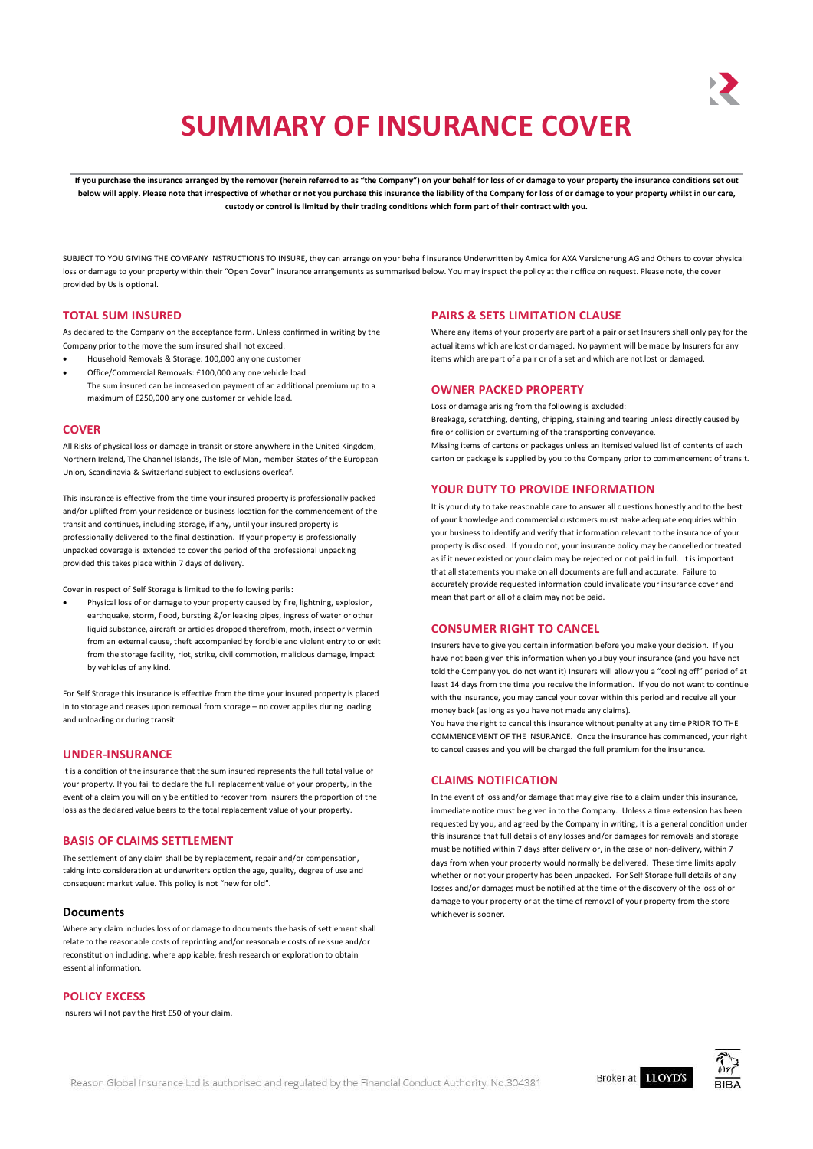# **SUMMARY OF INSURANCE COVER**

If you purchase the insurance arranged by the remover (herein referred to as "the Company") on your behalf for loss of or damage to your property the insurance conditions set out below will apply. Please note that irrespective of whether or not you purchase this insurance the liability of the Company for loss of or damage to your property whilst in our care, **custody or control is limited by their trading conditions which form part of their contract with you.**

SUBJECT TO YOU GIVING THE COMPANY INSTRUCTIONS TO INSURE, they can arrange on your behalf insurance Underwritten by Amica for AXA Versicherung AG and Others to cover physical loss or damage to your property within their "Open Cover" insurance arrangements as summarised below. You may inspect the policy at their office on request. Please note, the cover provided by Us is optional.

#### **TOTAL SUM INSURED**

As declared to the Company on the acceptance form. Unless confirmed in writing by the Company prior to the move the sum insured shall not exceed:

- Household Removals & Storage: 100,000 any one customer
- Office/Commercial Removals: £100,000 any one vehicle load The sum insured can be increased on payment of an additional premium up to a maximum of £250,000 any one customer or vehicle load.

#### **COVER**

All Risks of physical loss or damage in transit or store anywhere in the United Kingdom, Northern Ireland, The Channel Islands, The Isle of Man, member States of the European Union, Scandinavia & Switzerland subject to exclusions overleaf.

This insurance is effective from the time your insured property is professionally packed and/or uplifted from your residence or business location for the commencement of the transit and continues, including storage, if any, until your insured property is professionally delivered to the final destination. If your property is professionally unpacked coverage is extended to cover the period of the professional unpacking provided this takes place within 7 days of delivery.

Cover in respect of Self Storage is limited to the following perils:

 Physical loss of or damage to your property caused by fire, lightning, explosion, earthquake, storm, flood, bursting &/or leaking pipes, ingress of water or other liquid substance, aircraft or articles dropped therefrom, moth, insect or vermin from an external cause, theft accompanied by forcible and violent entry to or exit from the storage facility, riot, strike, civil commotion, malicious damage, impact by vehicles of any kind.

For Self Storage this insurance is effective from the time your insured property is placed in to storage and ceases upon removal from storage – no cover applies during loading and unloading or during transit

# **UNDER-INSURANCE**

It is a condition of the insurance that the sum insured represents the full total value of your property. If you fail to declare the full replacement value of your property, in the event of a claim you will only be entitled to recover from Insurers the proportion of the loss as the declared value bears to the total replacement value of your property.

# **BASIS OF CLAIMS SETTLEMENT**

The settlement of any claim shall be by replacement, repair and/or compensation, taking into consideration at underwriters option the age, quality, degree of use and consequent market value. This policy is not "new for old".

#### **Documents**

Where any claim includes loss of or damage to documents the basis of settlement shall relate to the reasonable costs of reprinting and/or reasonable costs of reissue and/or reconstitution including, where applicable, fresh research or exploration to obtain essential information.

# **POLICY EXCESS**

Insurers will not pay the first £50 of your claim.

#### **PAIRS & SETS LIMITATION CLAUSE**

Where any items of your property are part of a pair or set Insurers shall only pay for the actual items which are lost or damaged. No payment will be made by Insurers for any items which are part of a pair or of a set and which are not lost or damaged.

#### **OWNER PACKED PROPERTY**

Loss or damage arising from the following is excluded: Breakage, scratching, denting, chipping, staining and tearing unless directly caused by

fire or collision or overturning of the transporting conveyance. Missing items of cartons or packages unless an itemised valued list of contents of each carton or package is supplied by you to the Company prior to commencement of transit.

#### **YOUR DUTY TO PROVIDE INFORMATION**

It is your duty to take reasonable care to answer all questions honestly and to the best of your knowledge and commercial customers must make adequate enquiries within your business to identify and verify that information relevant to the insurance of your property is disclosed. If you do not, your insurance policy may be cancelled or treated as if it never existed or your claim may be rejected or not paid in full. It is important that all statements you make on all documents are full and accurate. Failure to accurately provide requested information could invalidate your insurance cover and mean that part or all of a claim may not be paid.

# **CONSUMER RIGHT TO CANCEL**

Insurers have to give you certain information before you make your decision. If you have not been given this information when you buy your insurance (and you have not told the Company you do not want it) Insurers will allow you a "cooling off" period of at least 14 days from the time you receive the information. If you do not want to continue with the insurance, you may cancel your cover within this period and receive all your money back (as long as you have not made any claims).

You have the right to cancel this insurance without penalty at any time PRIOR TO THE COMMENCEMENT OF THE INSURANCE. Once the insurance has commenced, your right to cancel ceases and you will be charged the full premium for the insurance.

## **CLAIMS NOTIFICATION**

In the event of loss and/or damage that may give rise to a claim under this insurance, immediate notice must be given in to the Company. Unless a time extension has been requested by you, and agreed by the Company in writing, it is a general condition under this insurance that full details of any losses and/or damages for removals and storage must be notified within 7 days after delivery or, in the case of non-delivery, within 7 days from when your property would normally be delivered. These time limits apply whether or not your property has been unpacked. For Self Storage full details of any losses and/or damages must be notified at the time of the discovery of the loss of or damage to your property or at the time of removal of your property from the store whichever is sooner.